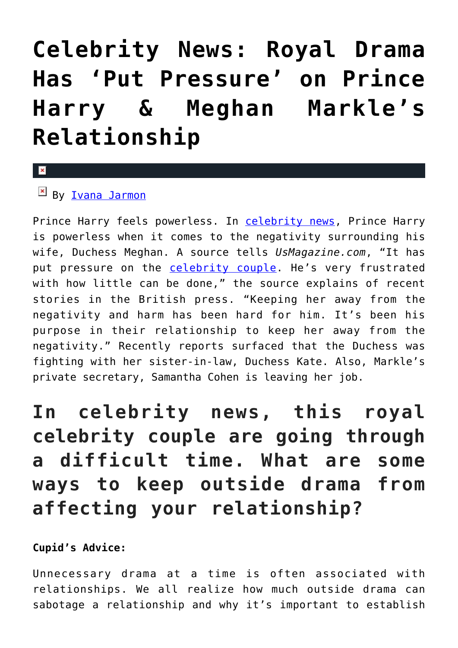## **[Celebrity News: Royal Drama](https://cupidspulse.com/127835/celebrity-news-royal-drama-prince-harry-meghan-markles/) [Has 'Put Pressure' on Prince](https://cupidspulse.com/127835/celebrity-news-royal-drama-prince-harry-meghan-markles/) [Harry & Meghan Markle's](https://cupidspulse.com/127835/celebrity-news-royal-drama-prince-harry-meghan-markles/) [Relationship](https://cupidspulse.com/127835/celebrity-news-royal-drama-prince-harry-meghan-markles/)**

## $\mathbf{x}$

## $\mathbb{F}$  By <u>Ivana</u> Jarmon

Prince Harry feels powerless. In [celebrity news,](http://cupidspulse.com/) Prince Harry is powerless when it comes to the negativity surrounding his wife, Duchess Meghan. A source tells *UsMagazine.com*, "It has put pressure on the [celebrity couple.](http://cupidspulse.com/celebrity-news/celebrity-dating/) He's very frustrated with how little can be done," the source explains of recent stories in the British press. "Keeping her away from the negativity and harm has been hard for him. It's been his purpose in their relationship to keep her away from the negativity." Recently reports surfaced that the Duchess was fighting with her sister-in-law, Duchess Kate. Also, Markle's private secretary, Samantha Cohen is leaving her job.

**In celebrity news, this royal celebrity couple are going through a difficult time. What are some ways to keep outside drama from affecting your relationship?**

## **Cupid's Advice:**

Unnecessary drama at a time is often associated with relationships. We all realize how much outside drama can sabotage a relationship and why it's important to establish